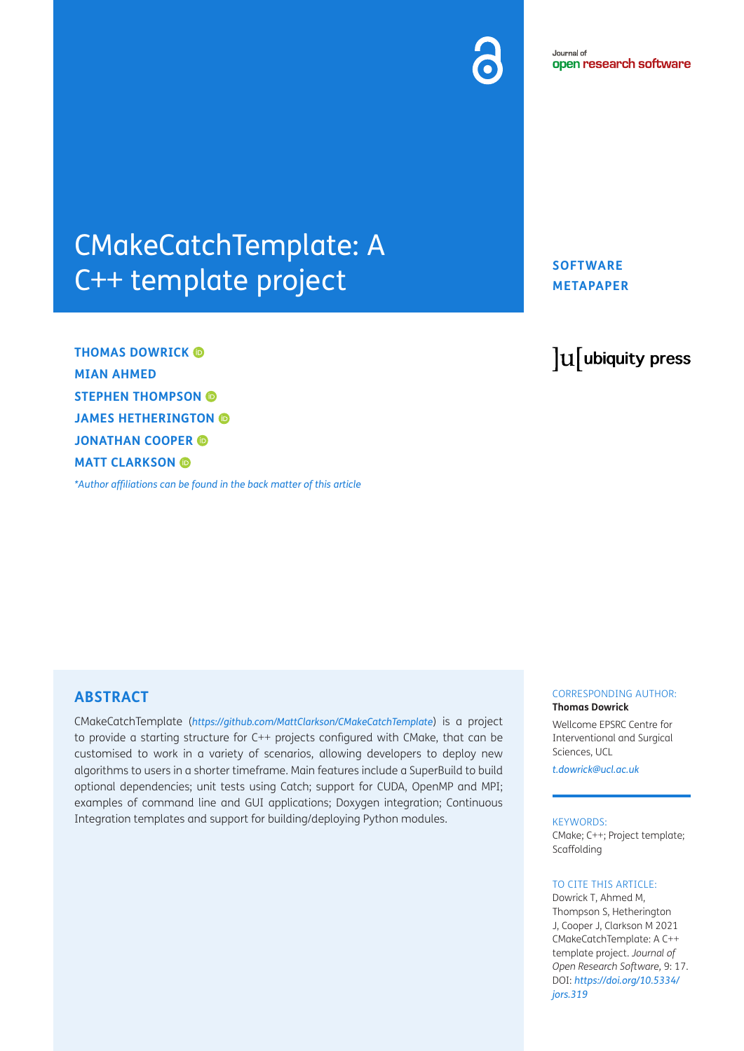# CMakeCatchTemplate: A C++ template project

**THOMAS DOWRICK MIAN AHMED STEPHEN THOMPSON JAMES HETHERINGTON JONATHAN COOPER MATT CLARKSON** 

*[\\*Author affiliations can be found in the back matter of this article](#page-5-0)*

## **SOFTWARE METAPAPER**

## lu ubiquity press

## **ABSTRACT**

CMakeCatchTemplate (*<https://github.com/MattClarkson/CMakeCatchTemplate>*) is a project to provide a starting structure for C++ projects configured with CMake, that can be customised to work in a variety of scenarios, allowing developers to deploy new algorithms to users in a shorter timeframe. Main features include a SuperBuild to build optional dependencies; unit tests using Catch; support for CUDA, OpenMP and MPI; examples of command line and GUI applications; Doxygen integration; Continuous Integration templates and support for building/deploying Python modules.

#### CORRESPONDING AUTHOR: **Thomas Dowrick**

Wellcome EPSRC Centre for Interventional and Surgical Sciences, UCL

*[t.dowrick@ucl.ac.uk](mailto:t.dowrick@ucl.ac.uk)*

#### KEYWORDS:

CMake; C++; Project template; Scaffolding

#### TO CITE THIS ARTICLE:

Dowrick T, Ahmed M, Thompson S, Hetherington J, Cooper J, Clarkson M 2021 CMakeCatchTemplate: A C++ template project. *Journal of Open Research Software,* 9: 17. DOI: *[https://doi.org/10.5334/](https://doi.org/10.5334/jors.319) [jors.319](https://doi.org/10.5334/jors.319)*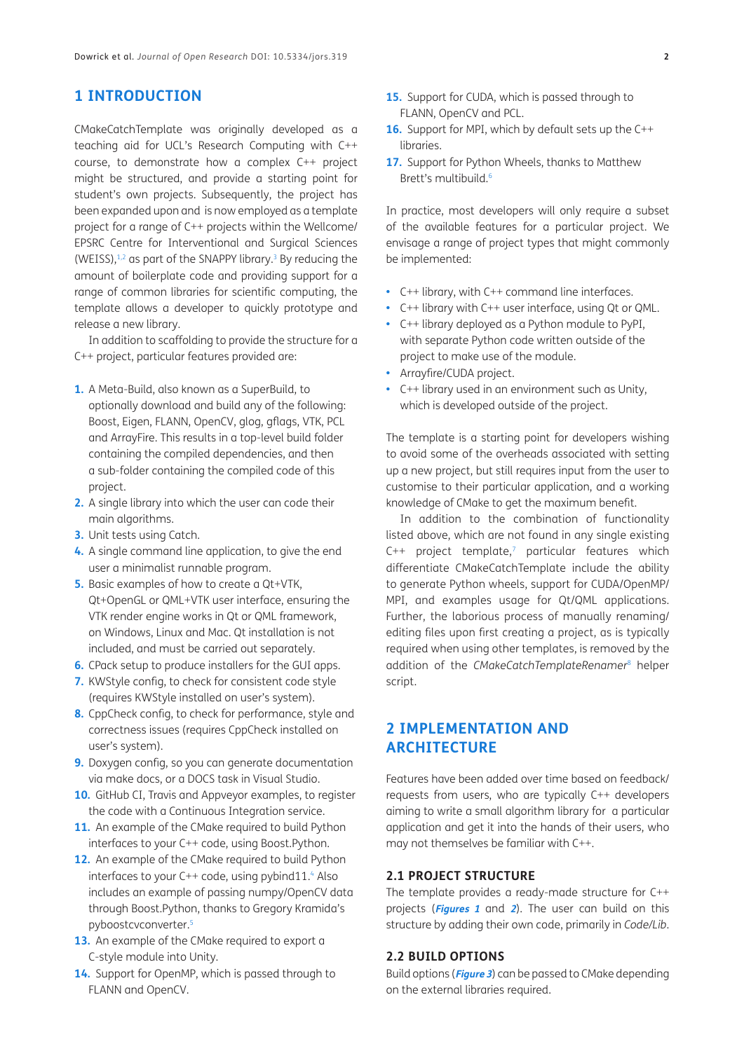## **1 INTRODUCTION**

CMakeCatchTemplate was originally developed as a teaching aid for UCL's Research Computing with C++ course, to demonstrate how a complex C++ project might be structured, and provide a starting point for student's own projects. Subsequently, the project has been expanded upon and is now employed as a template project for a range of C++ projects within the Wellcome/ EPSRC Centre for Interventional and Surgical Sciences (WEISS), $1,2$  as part of the SNAPPY library.<sup>3</sup> By reducing the amount of boilerplate code and providing support for a range of common libraries for scientific computing, the template allows a developer to quickly prototype and release a new library.

In addition to scaffolding to provide the structure for a C++ project, particular features provided are:

- **1.** A Meta-Build, also known as a SuperBuild, to optionally download and build any of the following: Boost, Eigen, FLANN, OpenCV, glog, gflags, VTK, PCL and ArrayFire. This results in a top-level build folder containing the compiled dependencies, and then a sub-folder containing the compiled code of this project.
- **2.** A single library into which the user can code their main algorithms.
- **3.** Unit tests using Catch.
- **4.** A single command line application, to give the end user a minimalist runnable program.
- **5.** Basic examples of how to create a Qt+VTK, Qt+OpenGL or QML+VTK user interface, ensuring the VTK render engine works in Qt or QML framework, on Windows, Linux and Mac. Qt installation is not included, and must be carried out separately.
- **6.** CPack setup to produce installers for the GUI apps.
- **7.** KWStyle config, to check for consistent code style (requires KWStyle installed on user's system).
- **8.** CppCheck config, to check for performance, style and correctness issues (requires CppCheck installed on user's system).
- **9.** Doxygen config, so you can generate documentation via make docs, or a DOCS task in Visual Studio.
- **10.** GitHub CI, Travis and Appveyor examples, to register the code with a Continuous Integration service.
- 11. An example of the CMake required to build Python interfaces to your C++ code, using Boost.Python.
- **12.** An example of the CMake required to build Python interfaces to your  $C++$  code, using pybind11. $4$  Also includes an example of passing numpy/OpenCV data through Boost.Python, thanks to Gregory Kramida's pyboostcvconverter.5
- 13. An example of the CMake required to export a C-style module into Unity.
- **14.** Support for OpenMP, which is passed through to FLANN and OpenCV.
- **15.** Support for CUDA, which is passed through to FLANN, OpenCV and PCL.
- **16.** Support for MPI, which by default sets up the C++ libraries.
- **17.** Support for Python Wheels, thanks to Matthew Brett's multibuild.<sup>6</sup>

In practice, most developers will only require a subset of the available features for a particular project. We envisage a range of project types that might commonly be implemented:

- **•**  C++ library, with C++ command line interfaces.
- **•**  C++ library with C++ user interface, using Qt or QML.
- **•**  C++ library deployed as a Python module to PyPI, with separate Python code written outside of the project to make use of the module.
- **•**  Arrayfire/CUDA project.
- **•**  C++ library used in an environment such as Unity, which is developed outside of the project.

The template is a starting point for developers wishing to avoid some of the overheads associated with setting up a new project, but still requires input from the user to customise to their particular application, and a working knowledge of CMake to get the maximum benefit.

In addition to the combination of functionality listed above, which are not found in any single existing  $C++$  project template,<sup>7</sup> particular features which differentiate CMakeCatchTemplate include the ability to generate Python wheels, support for CUDA/OpenMP/ MPI, and examples usage for Qt/QML applications. Further, the laborious process of manually renaming/ editing files upon first creating a project, as is typically required when using other templates, is removed by the addition of the *CMakeCatchTemplateRenamer*<sup>8</sup> helper script.

## **2 IMPLEMENTATION AND ARCHITECTURE**

Features have been added over time based on feedback/ requests from users, who are typically C++ developers aiming to write a small algorithm library for a particular application and get it into the hands of their users, who may not themselves be familiar with C++.

#### **2.1 PROJECT STRUCTURE**

The template provides a ready-made structure for C++ projects (**[Figures 1](#page-2-0)** and **[2](#page-3-0)**). The user can build on this structure by adding their own code, primarily in *Code/Lib*.

#### **2.2 BUILD OPTIONS**

Build options (**[Figure 3](#page-4-0)**) can be passed to CMake depending on the external libraries required.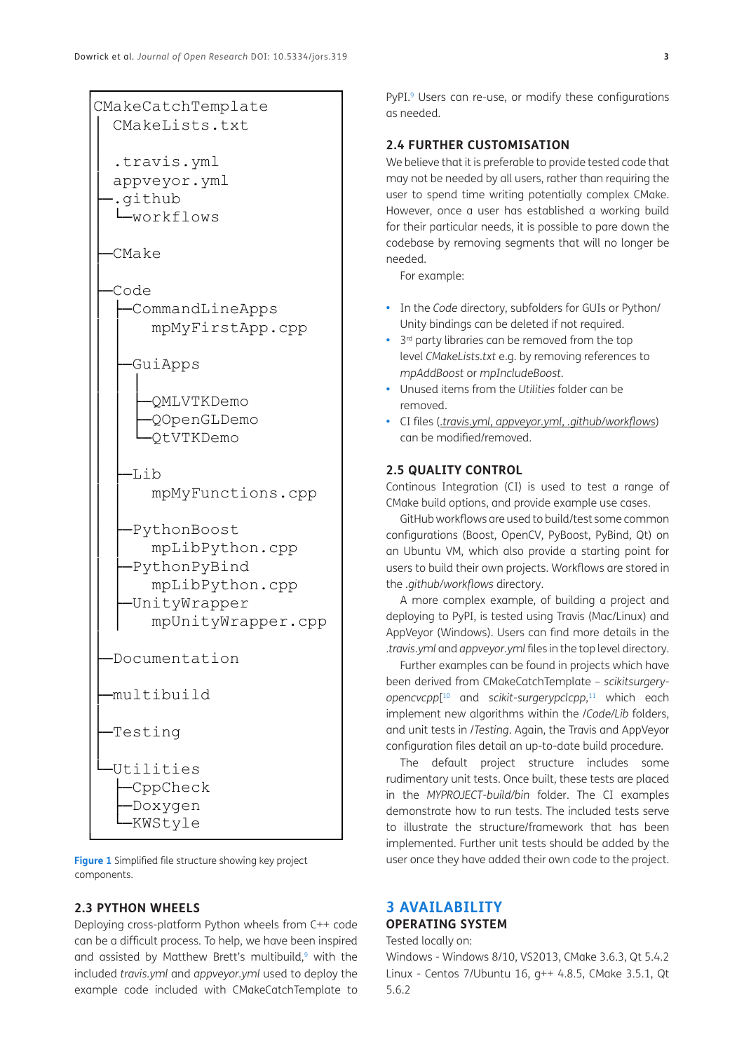

│ appveyor.yml ├─.github │ └─workflows

├─CMake

│

│

│ │

│ │

│

│

│

├─Code │ ├─CommandLineApps │ │ mpMyFirstApp.cpp

│ ├─GuiApps

│ │ │ │ │ ├─QMLVTKDemo │ │ ├─QOpenGLDemo │ │ └─QtVTKDemo

 $-I$ ib

mpMyFunctions.cpp

│ │ -PythonBoost

> │ │ mpLibPython.cpp -PythonPyBind │ │ mpLibPython.cpp │ ├─UnityWrapper

│ │ mpUnityWrapper.cpp

├─Documentation

├─Testing

│ └─Utilities ├─CppCheck

> ├─Doxygen -KWStyle

├─multibuild

<span id="page-2-0"></span>**Figure 1** Simplified file structure showing key project components.

#### **2.3 PYTHON WHEELS**

Deploying cross-platform Python wheels from C++ code can be a difficult process. To help, we have been inspired and assisted by Matthew Brett's multibuild, $9$  with the included *travis.yml* and *appveyor.yml* used to deploy the example code included with CMakeCatchTemplate to

PyPI.<sup>9</sup> Users can re-use, or modify these configurations as needed.

### **2.4 FURTHER CUSTOMISATION**

We believe that it is preferable to provide tested code that may not be needed by all users, rather than requiring the user to spend time writing potentially complex CMake. However, once a user has established a working build for their particular needs, it is possible to pare down the codebase by removing segments that will no longer be needed.

For example:

- **•**  In the *Code* directory, subfolders for GUIs or Python/ Unity bindings can be deleted if not required.
- **•**  3rd party libraries can be removed from the top level *CMakeLists.txt* e.g. by removing references to *mpAddBoost* or *mpIncludeBoost.*
- **•**  Unused items from the *Utilities* folder can be removed.
- **•**  CI files (*.travis.yml, appveyor.yml, .github/workflows*) can be modified/removed.

### **2.5 QUALITY CONTROL**

Continous Integration (CI) is used to test a range of CMake build options, and provide example use cases.

GitHub workflows are used to build/test some common configurations (Boost, OpenCV, PyBoost, PyBind, Qt) on an Ubuntu VM, which also provide a starting point for users to build their own projects. Workflows are stored in the *.github/workflows* directory.

A more complex example, of building a project and deploying to PyPI, is tested using Travis (Mac/Linux) and AppVeyor (Windows). Users can find more details in the .*travis.yml* and *appveyor.yml* files in the top level directory.

Further examples can be found in projects which have been derived from CMakeCatchTemplate – *scikitsurgeryopencvcpp*[ 10 and *scikit-surgerypclcpp*, 11 which each implement new algorithms within the /*Code/Lib* folders, and unit tests in /*Testing*. Again, the Travis and AppVeyor configuration files detail an up-to-date build procedure.

The default project structure includes some rudimentary unit tests. Once built, these tests are placed in the *MYPROJECT-build/bin* folder. The CI examples demonstrate how to run tests. The included tests serve to illustrate the structure/framework that has been implemented. Further unit tests should be added by the user once they have added their own code to the project.

## **3 AVAILABILITY OPERATING SYSTEM**

Tested locally on: Windows - Windows 8/10, VS2013, CMake 3.6.3, Qt 5.4.2 Linux - Centos 7/Ubuntu 16, g++ 4.8.5, CMake 3.5.1, Qt 5.6.2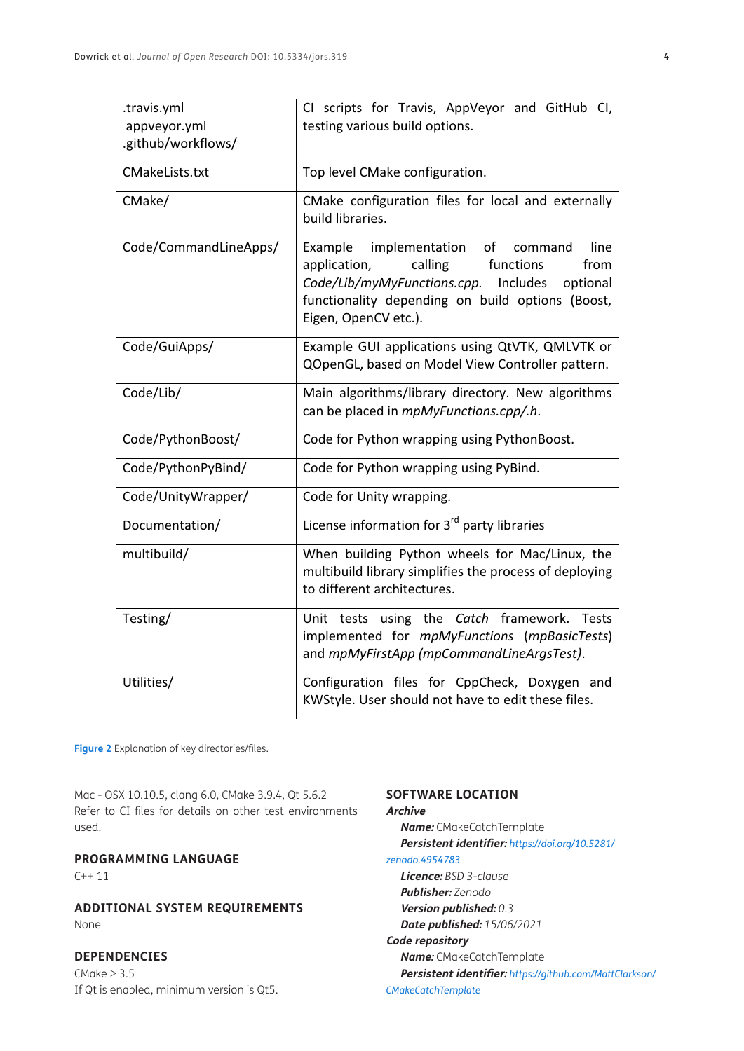| .travis.yml<br>appveyor.yml<br>.github/workflows/ | CI scripts for Travis, AppVeyor and GitHub CI,<br>testing various build options.                                                                                                                                                   |
|---------------------------------------------------|------------------------------------------------------------------------------------------------------------------------------------------------------------------------------------------------------------------------------------|
| CMakeLists.txt                                    | Top level CMake configuration.                                                                                                                                                                                                     |
| CMake/                                            | CMake configuration files for local and externally<br>build libraries.                                                                                                                                                             |
| Code/CommandLineApps/                             | Example<br>implementation<br>of<br>line<br>command<br>calling<br>application,<br>functions<br>from<br>Code/Lib/myMyFunctions.cpp. Includes<br>optional<br>functionality depending on build options (Boost,<br>Eigen, OpenCV etc.). |
| Code/GuiApps/                                     | Example GUI applications using QtVTK, QMLVTK or<br>QOpenGL, based on Model View Controller pattern.                                                                                                                                |
| Code/Lib/                                         | Main algorithms/library directory. New algorithms<br>can be placed in mpMyFunctions.cpp/.h.                                                                                                                                        |
| Code/PythonBoost/                                 | Code for Python wrapping using PythonBoost.                                                                                                                                                                                        |
| Code/PythonPyBind/                                | Code for Python wrapping using PyBind.                                                                                                                                                                                             |
| Code/UnityWrapper/                                | Code for Unity wrapping.                                                                                                                                                                                                           |
| Documentation/                                    | License information for 3 <sup>rd</sup> party libraries                                                                                                                                                                            |
| multibuild/                                       | When building Python wheels for Mac/Linux, the<br>multibuild library simplifies the process of deploying<br>to different architectures.                                                                                            |
| Testing/                                          | Unit tests using the Catch framework. Tests<br>implemented for mpMyFunctions (mpBasicTests)<br>and mpMyFirstApp (mpCommandLineArgsTest).                                                                                           |
| Utilities/                                        | Configuration files for CppCheck, Doxygen and<br>KWStyle. User should not have to edit these files.                                                                                                                                |

<span id="page-3-0"></span>**Figure 2** Explanation of key directories/files.

Mac - OSX 10.10.5, clang 6.0, CMake 3.9.4, Qt 5.6.2 Refer to CI files for details on other test environments used.

### **PROGRAMMING LANGUAGE**

 $C++11$ 

**ADDITIONAL SYSTEM REQUIREMENTS** None

#### **DEPENDENCIES**

 $CMake > 3.5$ If Qt is enabled, minimum version is Qt5.

#### **SOFTWARE LOCATION**

**Archive**

**Name:** CMakeCatchTemplate **Persistent identifier:** *[https://doi.org/10.5281/](https://doi.org/10.5281/zenodo.4954783) [zenodo.4954783](https://doi.org/10.5281/zenodo.4954783)* **Licence:** *BSD 3-clause* **Publisher:** *Zenodo* **Version published:** *0.3* **Date published:** *15/06/2021* **Code repository Name:** CMakeCatchTemplate **Persistent identifier:** *[https://github.com/MattClarkson/](https://github.com/MattClarkson/CMakeCatchTemplate) [CMakeCatchTemplate](https://github.com/MattClarkson/CMakeCatchTemplate)*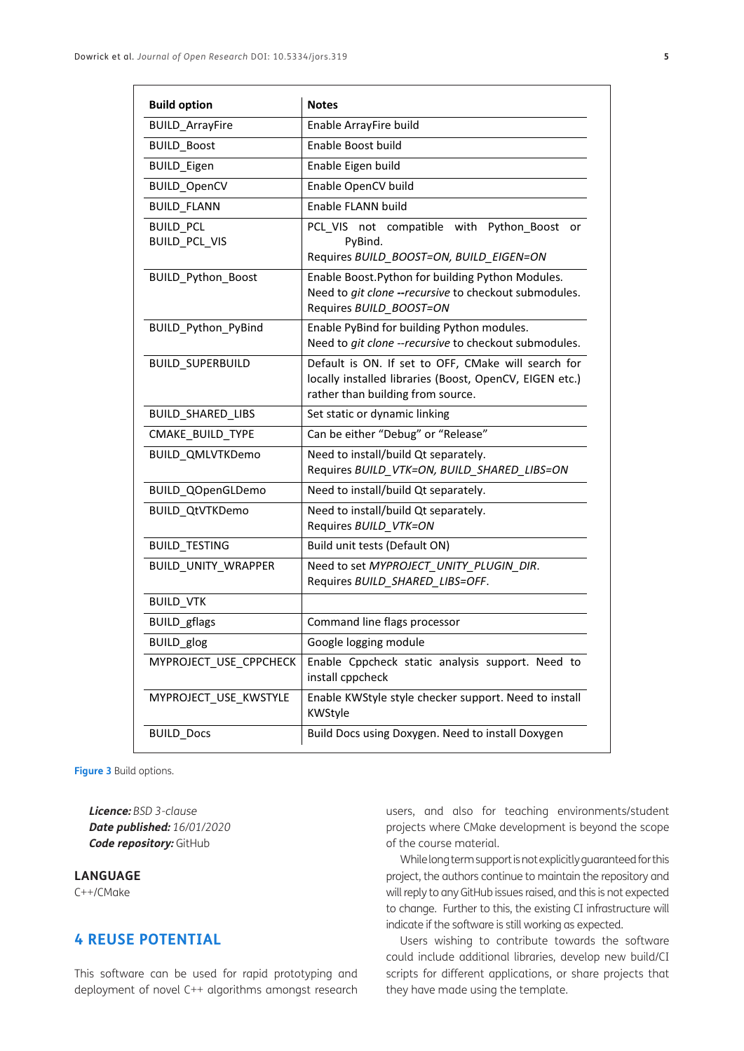| <b>Build option</b>                      | <b>Notes</b>                                                                                                                                        |
|------------------------------------------|-----------------------------------------------------------------------------------------------------------------------------------------------------|
| <b>BUILD_ArrayFire</b>                   | Enable ArrayFire build                                                                                                                              |
| <b>BUILD_Boost</b>                       | Enable Boost build                                                                                                                                  |
| <b>BUILD_Eigen</b>                       | Enable Eigen build                                                                                                                                  |
| <b>BUILD_OpenCV</b>                      | Enable OpenCV build                                                                                                                                 |
| <b>BUILD FLANN</b>                       | Enable FLANN build                                                                                                                                  |
| <b>BUILD PCL</b><br><b>BUILD_PCL_VIS</b> | PCL VIS<br>compatible<br>with<br>Python Boost<br>not<br>or<br>PyBind.<br>Requires BUILD_BOOST=ON, BUILD_EIGEN=ON                                    |
| BUILD_Python_Boost                       | Enable Boost. Python for building Python Modules.<br>Need to git clone --recursive to checkout submodules.<br>Requires BUILD_BOOST=ON               |
| BUILD_Python_PyBind                      | Enable PyBind for building Python modules.<br>Need to git clone --recursive to checkout submodules.                                                 |
| <b>BUILD_SUPERBUILD</b>                  | Default is ON. If set to OFF, CMake will search for<br>locally installed libraries (Boost, OpenCV, EIGEN etc.)<br>rather than building from source. |
| BUILD_SHARED_LIBS                        | Set static or dynamic linking                                                                                                                       |
| CMAKE BUILD TYPE                         | Can be either "Debug" or "Release"                                                                                                                  |
| <b>BUILD_QMLVTKDemo</b>                  | Need to install/build Qt separately.<br>Requires BUILD_VTK=ON, BUILD_SHARED_LIBS=ON                                                                 |
| BUILD_QOpenGLDemo                        | Need to install/build Qt separately.                                                                                                                |
| <b>BUILD QtVTKDemo</b>                   | Need to install/build Qt separately.<br>Requires BUILD_VTK=ON                                                                                       |
| <b>BUILD_TESTING</b>                     | Build unit tests (Default ON)                                                                                                                       |
| BUILD_UNITY_WRAPPER                      | Need to set MYPROJECT_UNITY_PLUGIN_DIR.<br>Requires BUILD SHARED LIBS=OFF.                                                                          |
| <b>BUILD_VTK</b>                         |                                                                                                                                                     |
| <b>BUILD_gflags</b>                      | Command line flags processor                                                                                                                        |
| <b>BUILD</b> glog                        | Google logging module                                                                                                                               |
| MYPROJECT_USE_CPPCHECK                   | Enable Cppcheck static analysis support. Need to<br>install cppcheck                                                                                |
| MYPROJECT USE KWSTYLE                    | Enable KWStyle style checker support. Need to install<br>KWStyle                                                                                    |
| <b>BUILD Docs</b>                        | Build Docs using Doxygen. Need to install Doxygen                                                                                                   |

<span id="page-4-0"></span>**Figure 3** Build options.

**Licence:** *BSD 3-clause* **Date published:** *16/01/2020* **Code repository:** GitHub

#### **LANGUAGE**

C++/CMake

## **4 REUSE POTENTIAL**

This software can be used for rapid prototyping and deployment of novel C++ algorithms amongst research users, and also for teaching environments/student projects where CMake development is beyond the scope of the course material.

While long term support is not explicitly guaranteed for this project, the authors continue to maintain the repository and will reply to any GitHub issues raised, and this is not expected to change. Further to this, the existing CI infrastructure will indicate if the software is still working as expected.

Users wishing to contribute towards the software could include additional libraries, develop new build/CI scripts for different applications, or share projects that they have made using the template.